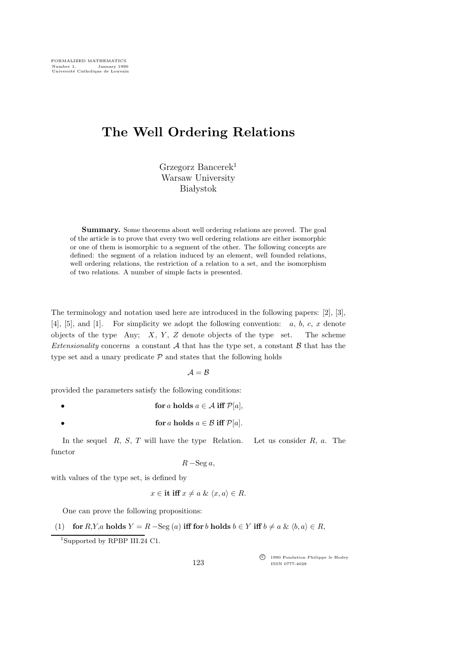## The Well Ordering Relations

Grzegorz Bancerek<sup>1</sup> Warsaw University **Białystok** 

Summary. Some theorems about well ordering relations are proved. The goal of the article is to prove that every two well ordering relations are either isomorphic or one of them is isomorphic to a segment of the other. The following concepts are defined: the segment of a relation induced by an element, well founded relations, well ordering relations, the restriction of a relation to a set, and the isomorphism of two relations. A number of simple facts is presented.

The terminology and notation used here are introduced in the following papers: [2], [3], [4], [5], and [1]. For simplicity we adopt the following convention:  $a, b, c, x$  denote objects of the type Any;  $X, Y, Z$  denote objects of the type set. The scheme Extensionality concerns a constant A that has the type set, a constant  $\beta$  that has the type set and a unary predicate  $P$  and states that the following holds

 $\mathcal{A} = \mathcal{B}$ 

provided the parameters satisfy the following conditions:

- for a holds  $a \in \mathcal{A}$  iff  $\mathcal{P}[a]$ ,
	- for a holds  $a \in \mathcal{B}$  iff  $\mathcal{P}[a]$ .

In the sequel  $R, S, T$  will have the type Relation. Let us consider  $R, a$ . The functor

$$
R-\mathrm{Seg}\,a,
$$

with values of the type set, is defined by

$$
x \in \text{it iff } x \neq a \& \langle x, a \rangle \in R.
$$

One can prove the following propositions:

(1) for 
$$
R, Y, a
$$
 holds  $Y = R - \text{Seg}(a)$  iff for b holds  $b \in Y$  iff  $b \neq a \& \langle b, a \rangle \in R$ ,

<sup>1</sup>Supported by RPBP III.24 C1.

123

c<sup>f</sup> 1990 Fondation Philippe le Hodey ISSN 0777-4028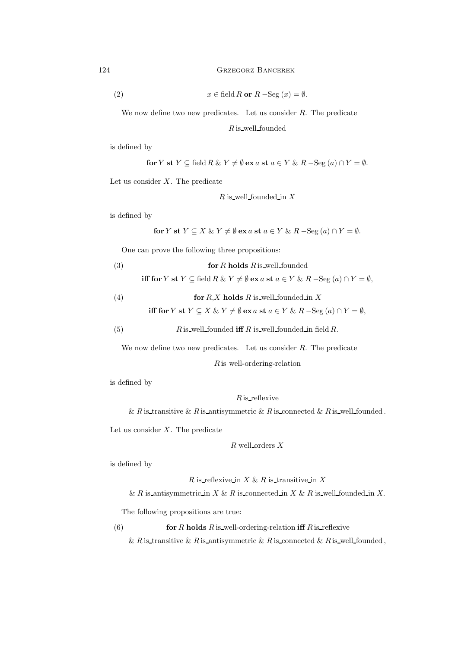124 Grzegorz Bancerek

(2) 
$$
x \in \text{field } R \text{ or } R - \text{Seg}(x) = \emptyset.
$$

We now define two new predicates. Let us consider  $R$ . The predicate

 $R$  is well founded

is defined by

for Y st 
$$
Y \subseteq \text{field } R \& Y \neq \emptyset
$$
 ex a st  $a \in Y \& R - \text{Seg}(a) \cap Y = \emptyset$ .

Let us consider  $X$ . The predicate

 $R$  is well founded in  $X$ 

is defined by

for Y st 
$$
Y \subseteq X \& Y \neq \emptyset
$$
 ex a st  $a \in Y \& R - \text{Seg}(a) \cap Y = \emptyset$ .

One can prove the following three propositions:

(3) for *R* holds *R* is well-founded  
iff for *Y* st 
$$
Y \subseteq \text{field } R \& Y \neq \emptyset
$$
 ex *a* st  $a \in Y \& R - \text{Seg}(a) \cap Y = \emptyset$ .

**if** for *Y* **st** *Y* ⊆ 
$$
\text{held } R \& Y \neq \emptyset
$$
 **ex** *a* **st** *a* ∈ *Y*  $\& R$  − $\text{Seg}(a) \cap Y = \emptyset$ 

(4) for 
$$
R
$$
,  $X$  holds  $R$  is well founded in  $X$ 

$$
\text{iff for } Y \text{ st } Y \subseteq X \ \& \ Y \neq \emptyset \text{ ex } a \text{ st } a \in Y \ \& \ R - \text{Seg}(a) \cap Y = \emptyset,
$$

(5) 
$$
R
$$
 is well founded iff  $R$  is well founded in field  $R$ .

We now define two new predicates. Let us consider  $R$ . The predicate

```
R is well-ordering-relation
```
is defined by

 $R$  is reflexive

& R is transitive & R is antisymmetric & R is connected & R is well founded.

Let us consider  $X$ . The predicate

 $R$  well orders  $X$ 

is defined by

R is reflexive in  $X \& R$  is transitive in X

& R is antisymmetric in X & R is connected in X & R is well founded in X.

The following propositions are true:

(6) for R holds R is well-ordering-relation iff R is reflexive

& R is transitive & R is antisymmetric & R is connected & R is well founded,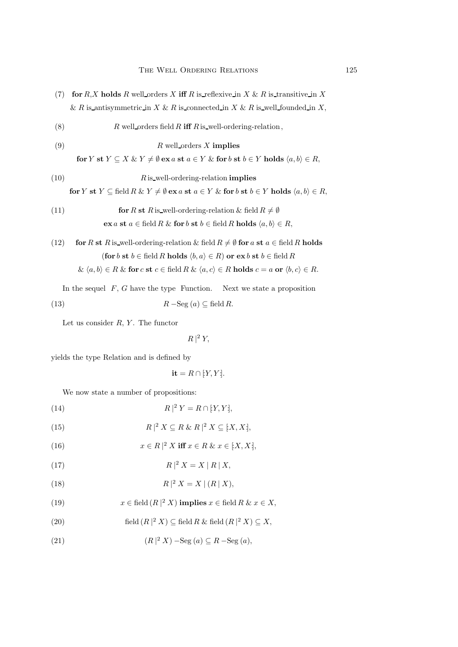- (7) for  $R$ , X holds R well orders X iff R is reflexive in X & R is transitive in X & R is antisymmetric in X & R is connected in X & R is well founded in X,
- (8)  $R$  well orders field R iff R is well-ordering-relation,
- (9)  $R$  well\_orders X implies

$$
\textbf{for } Y \textbf{ st } Y \subseteq X \ \& \ Y \neq \emptyset \textbf{ ex } a \textbf{ st } a \in Y \ \& \textbf{ for } b \textbf{ st } b \in Y \textbf{ holds } \langle a, b \rangle \in R,
$$

$$
(10) \t R is well-ordering-relation implies
$$

for Y st Y  $\subseteq$  field R & Y  $\neq \emptyset$  ex a st  $a \in Y$  & for b st  $b \in Y$  holds  $\langle a, b \rangle \in R$ ,

(11) **for** *R* **st** *R* is\_well-ordering-relation & field 
$$
R \neq \emptyset
$$
  
**ex**  $a$  **st**  $a \in \text{field } R \& \text{for } b \text{ st } b \in \text{field } R \text{ holds } \langle a, b \rangle \in R$ ,

(12) for R st R is well-ordering-relation & field  $R \neq \emptyset$  for a st  $a \in$  field R holds (for b st b ∈ field R holds  $\langle b, a \rangle \in R$ ) or  $ex b$  st  $b \in \text{field } R$ 

$$
\& \langle a, b \rangle \in R \& \text{ for } c \text{ st } c \in \text{field } R \& \langle a, c \rangle \in R \text{ holds } c = a \text{ or } \langle b, c \rangle \in R.
$$

In the sequel  $F, G$  have the type Function. Next we state a proposition

(13) 
$$
R - \text{Seg}(a) \subseteq \text{field } R
$$
.

Let us consider  $R, Y$ . The functor

 $R|^2 Y$ ,

yields the type Relation and is defined by

$$
\mathbf{it} = R \cap [Y, Y].
$$

We now state a number of propositions:

$$
(14) \t\t R |2 Y = R \cap [Y, Y],
$$

(15) 
$$
R \mid^2 X \subseteq R \& R \mid^2 X \subseteq [X, X],
$$

(16) 
$$
x \in R \mid^{2} X \text{ iff } x \in R \& x \in [X, X],
$$

$$
(17) \t\t R \mid 2 X = X \mid R \mid X,
$$

$$
(18) \t\t R |2 X = X | (R | X),
$$

(19) 
$$
x \in \text{field } (R \mid 2 X) \text{ implies } x \in \text{field } R \& x \in X,
$$

(20) field 
$$
(R \nvert^2 X) \subseteq \text{field } R \& \text{ field } (R \nvert^2 X) \subseteq X
$$
,

(21) 
$$
(R | 2 X) - \text{Seg}(a) \subseteq R - \text{Seg}(a),
$$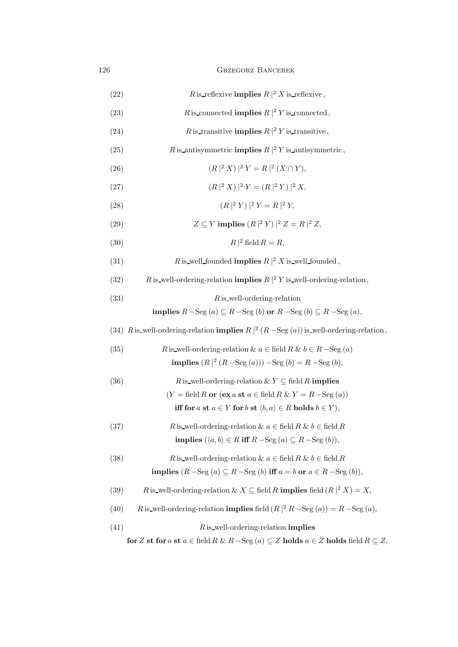## 126 Grzegorz Bancerek

| (22) | R is reflexive <b>implies</b> $R \mid^2 X$ is reflexive,                                                                 |
|------|--------------------------------------------------------------------------------------------------------------------------|
| (23) | R is connected <b>implies</b> $R \mid^2 Y$ is connected,                                                                 |
| (24) | R is transitive <b>implies</b> $R \mid^2 Y$ is transitive,                                                               |
| (25) | R is antisymmetric <b>implies</b> $R \mid^2 Y$ is antisymmetric,                                                         |
| (26) | $(R ^2 X) ^2 Y = R ^2 (X \cap Y),$                                                                                       |
| (27) | $(R ^2 X) ^2 Y = (R ^2 Y) ^2 X,$                                                                                         |
| (28) | $(R ^2 Y) ^2 Y = R ^2 Y,$                                                                                                |
| (29) | $Z \subseteq Y$ implies $(R \mid^2 Y) \mid^2 Z = R \mid^2 Z$ ,                                                           |
| (30) | $R ^2$ field $R = R$ ,                                                                                                   |
| (31) | R is well founded <b>implies</b> $R \mid^2 X$ is well founded,                                                           |
| (32) | R is well-ordering-relation <b>implies</b> $R \mid^2 Y$ is well-ordering-relation,                                       |
| (33) | $R$ is well-ordering-relation                                                                                            |
|      | implies $R$ -Seg $(a) \subseteq R$ -Seg $(b)$ or $R$ -Seg $(b) \subseteq R$ -Seg $(a)$ ,                                 |
|      | (34) R is well-ordering-relation <b>implies</b> $R \mid^2 (R - \text{Seg}(a))$ is well-ordering-relation,                |
| (35) | R is_well-ordering-relation & $a \in \text{field } R \& b \in R$ -Seg $(a)$                                              |
|      | <b>implies</b> $(R \mid^2 (R - \text{Seg}(a))) - \text{Seg}(b) = R - \text{Seg}(b),$                                     |
| (36) | <i>R</i> is well-ordering-relation $\& Y \subseteq \text{field } R$ implies                                              |
|      | $(Y = \text{field } R \text{ or } (\text{ex } a \text{ st } a \in \text{field } R \& Y = R - \text{Seg } (a))$           |
|      | iff for a st $a \in Y$ for b st $\langle b, a \rangle \in R$ holds $b \in Y$ ,                                           |
| (37) | R is well-ordering-relation $\& a \in \text{field } R \& b \in \text{field } R$                                          |
|      | implies $(\langle a,b \rangle \in R \text{ iff } R-\text{Seg}(a) \subseteq R-\text{Seg}(b)),$                            |
| (38) | R is well-ordering-relation $\& a \in \text{field } R \& b \in \text{field } R$                                          |
|      | implies $(R - \text{Seg}(a) \subseteq R - \text{Seg}(b)$ iff $a = b$ or $a \in R - \text{Seg}(b)$ ),                     |
| (39) | R is well-ordering-relation & $X \subseteq$ field R <b>implies</b> field $(R   Z X) = X$ ,                               |
| (40) | R is well-ordering-relation <b>implies</b> field $(R \mid^2 R - \text{Seg}(a)) = R - \text{Seg}(a)$ ,                    |
| (41) | $R$ is well-ordering-relation implies                                                                                    |
|      | for Z st for a st $a \in \text{field } R \& R - \text{Seg}(a) \subseteq Z$ holds $a \in Z$ holds field $R \subseteq Z$ , |
|      |                                                                                                                          |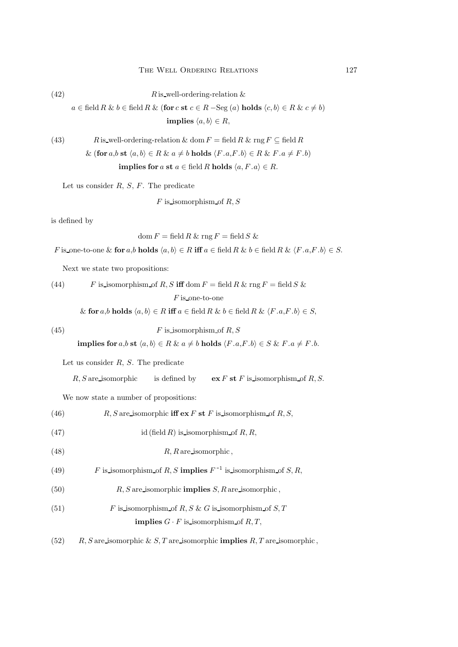(42)  $R$  is well-ordering-relation &

 $a \in \text{field } R \& b \in \text{field } R \& (\text{for } c \text{ st } c \in R - \text{Seg } (a) \text{ holds } \langle c, b \rangle \in R \& c \neq b)$ implies  $\langle a, b \rangle \in R$ ,

(43) *R* is-well-ordering-relation & dom 
$$
F
$$
 = field  $R$  & rng  $F \subseteq$  field  $R$   
 & (for  $a, b$  st  $\langle a, b \rangle \in R$  &  $a \neq b$  holds  $\langle F.a, F.b \rangle \in R$  &  $F.a \neq F.b$ )  
implies for  $a$  st  $a \in$  field  $R$  holds  $\langle a, F.a \rangle \in R$ .

Let us consider  $R, S, F$ . The predicate

 $F$  is isomorphism of  $R, S$ 

is defined by

$$
\text{dom}\, F = \text{field}\, R\, \& \, \text{rng}\, F = \text{field}\, S\, \&
$$

F is one-to-one & for a,b holds  $\langle a, b \rangle \in R$  iff  $a \in \text{field } R \& b \in \text{field } R \& \langle F. a, F. b \rangle \in S$ .

Next we state two propositions:

(44) *F* is isomorphism of *R*, *S* iff dom 
$$
F
$$
 = field *R* &  $\text{rng } F$  = field *S* &  $F$  is one-to-one  
& for *a*,*b* holds  $\langle a, b \rangle \in R$  iff  $a \in \text{field } R$  &  $b \in \text{field } R$  &  $\langle F.a, F.b \rangle \in S$ ,

$$
(45) \tF is isomorphism of R, S
$$

implies for  $a, b$  st  $\langle a, b \rangle \in R \& a \neq b$  holds  $\langle F.a, F.b \rangle \in S \& F.a \neq F.b.$ 

Let us consider  $R$ ,  $S$ . The predicate

```
R, S are isomorphic is defined by \mathbf{ex} F \mathbf{st} F is isomorphism of R, S.
```
We now state a number of propositions:

(46) 
$$
R, S \text{ are isomorphic iff } \mathbf{ex} F \text{ st } F \text{ is isomorphism of } R, S,
$$

- (47) id (field R) is isomorphism of  $R, R$ ,
- $(R, R \text{ are isomorphic})$
- (49)  $F$  is isomorphism of R, S implies  $F^{-1}$  is isomorphism of S, R,
- (50)  $R, S \text{ are isomorphic } \text{implies } S, R \text{ are isomorphic},$
- (51)  $F$  is isomorphism of R, S & G is isomorphism of S, T **implies**  $G \cdot F$  is isomorphism of  $R, T$ ,
- (52)  $R$ , S are isomorphic & S, T are isomorphic **implies** R, T are isomorphic,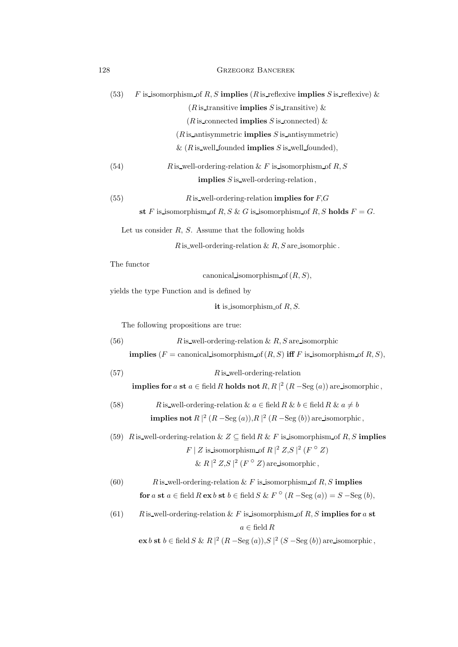| 128 | <b>GRZEGORZ BANCEREK</b> |  |
|-----|--------------------------|--|
|     |                          |  |

| (53)<br>F is isomorphism of R, S implies (R is reflexive implies S is reflexive) &                                                   |  |  |  |
|--------------------------------------------------------------------------------------------------------------------------------------|--|--|--|
| ( <i>R</i> is transitive <b>implies</b> <i>S</i> is transitive) &                                                                    |  |  |  |
| ( <i>R</i> is connected <b>implies</b> <i>S</i> is connected) &                                                                      |  |  |  |
| $(R$ is antisymmetric <b>implies</b> $S$ is antisymmetric)                                                                           |  |  |  |
| & $(R$ is well founded <b>implies</b> S is well founded),                                                                            |  |  |  |
| (54)<br>R is well-ordering-relation & F is isomorphism of R, S                                                                       |  |  |  |
| <b>implies</b> $S$ is well-ordering-relation,                                                                                        |  |  |  |
| (55)<br>R is well-ordering-relation <b>implies for</b> $F$ , G                                                                       |  |  |  |
| st F is isomorphism of R, S & G is isomorphism of R, S holds $F = G$ .                                                               |  |  |  |
| Let us consider $R$ , $S$ . Assume that the following holds                                                                          |  |  |  |
| R is well-ordering-relation $\& R, S$ are isomorphic.                                                                                |  |  |  |
| The functor                                                                                                                          |  |  |  |
| canonical isomorphism of $(R, S)$ ,                                                                                                  |  |  |  |
| yields the type Function and is defined by                                                                                           |  |  |  |
| it is isomorphism of $R, S$ .                                                                                                        |  |  |  |
| The following propositions are true:                                                                                                 |  |  |  |
| (56)<br>R is well-ordering-relation & R, S are isomorphic                                                                            |  |  |  |
| <b>implies</b> $(F = \text{canonical\_isomorphism of } (R, S)$ <b>iff</b> F is isomorphism of R, S),                                 |  |  |  |
| (57)<br>$R$ is well-ordering-relation                                                                                                |  |  |  |
| <b>implies for</b> a st $a \in \text{field } R$ holds not $R, R \mid^2 (R - \text{Seg}(a))$ are isomorphic,                          |  |  |  |
| (58)<br>R is well-ordering-relation & $a \in \text{field } R \& b \in \text{field } R \& a \neq b$                                   |  |  |  |
| <b>implies not</b> $R \mid^2 (R - \text{Seg}(a)), R \mid^2 (R - \text{Seg}(b))$ are isomorphic,                                      |  |  |  |
| (59) R is_well-ordering-relation & $Z \subseteq$ field R & F is_isomorphism_of R, S implies                                          |  |  |  |
| $F \mid Z$ is isomorphism of $R \mid^2 Z, S \mid^2 (F \circ Z)$                                                                      |  |  |  |
| & $R \mid 2 Z, S \mid 2 (F \circ Z)$ are isomorphic,                                                                                 |  |  |  |
| (60)<br>R is well-ordering-relation & F is isomorphism of $R, S$ implies                                                             |  |  |  |
| for $a$ st $a \in \text{field } R$ ex $b$ st $b \in \text{field } S \& F^{\circ}(R - \text{Seg}(a)) = S - \text{Seg}(b),$            |  |  |  |
| (61)<br>R is well-ordering-relation & F is isomorphism of R, S implies for a st                                                      |  |  |  |
| $a \in \text{field } R$                                                                                                              |  |  |  |
| $\mathbf{ex}\,b\,\mathbf{st}\,b\in \text{field}\,S\,\&\,R\, ^{2}\,(R-\text{Seg}\,(a)),S\, ^{2}\,(S-\text{Seg}\,(b))$ are isomorphic, |  |  |  |
|                                                                                                                                      |  |  |  |